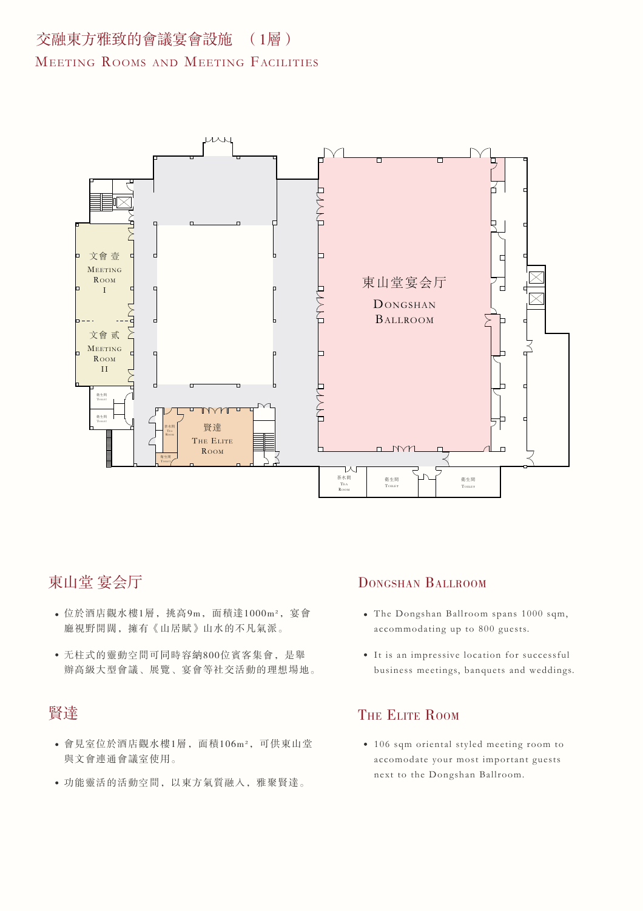# 交融東方雅致的會議宴會設施 (1層)

#### MEETING ROOMS AND MEETING FACILITIES



### 東山堂 宴会厅

- 位於酒店觀水樓1層,挑高9m,面積達1000m²,宴會 廳視野開闊,擁有《山居賦》山水的不凡氣派。
- 无柱式的靈動空間可同時容納800位賓客集會,是舉 辦高級大型會議、展覽、宴會等社交活動的理想場地。

## 賢達

- 會見室位於酒店觀水樓1層,面積106m²,可供東山堂 與文會連通會議室使用。
- 功能靈活的活動空間,以東方氣質融入,雅聚賢達。

#### DONGSHAN BALLROOM

- The Dongshan Ballroom spans 1000 sqm, accommodating up to 800 guests.
- It is an impressive location for successful business meetings, banquets and weddings.

### THE ELITE ROOM

106 sqm oriental styled meeting room to accomodate your most important guests next to the Dongshan Ballroom.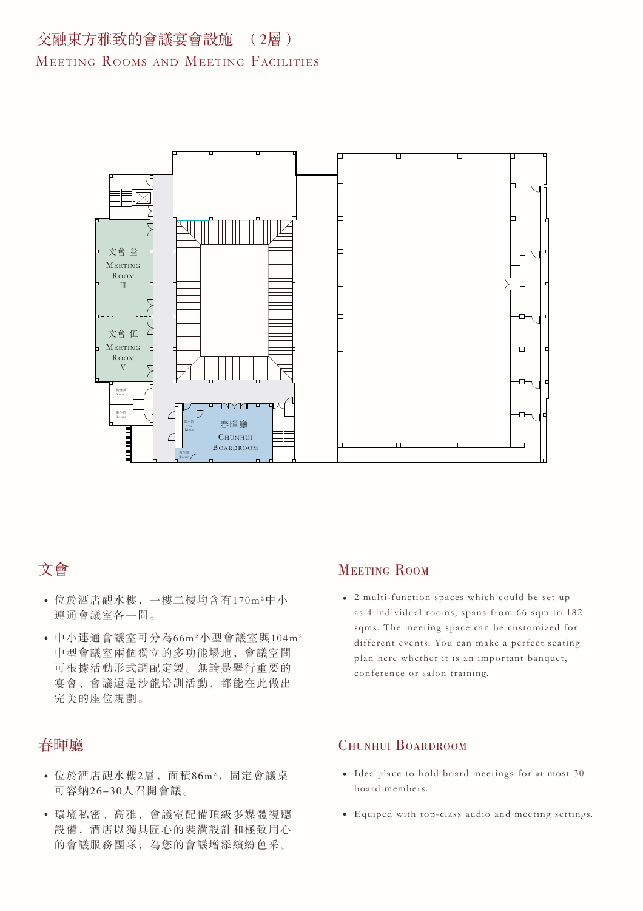

# 文會

- 位於酒店觀水樓,一樓二樓均含有170m²中小 連通會議室各一間。
- 中小連通會議室可分為66m²小型會議室與104m² 中型會議室兩個獨立的多功能場地,會議空間 可根據活動形式調配定製。無論是舉行重要的 宴會、會議還是沙龍培訓活動,都能在此做出 完美的座位規劃。

### 春暉廳

- 位於酒店觀水樓2層,面積86m²,固定會議桌 可容納26-30人召開會議。
- 環境私密、高雅,會議室配備頂級多媒體視聽 設備,酒店以獨具匠心的裝潢設計和極致用心 的會議服務團隊,為您的會議增添繽紛色采。

### MEETING ROOM

2 multi-function spaces which could be set up as 4 individual rooms, spans from 66 sqm to 182 sqms. The meeting space can be customized for different events. You can make a perfect seating plan here whether it is an important banquet, conference or salon training.

#### CHUNHUI BOARDROOM

- Idea place to hold board meetings for at most 30 board members.
- Equiped with top-class audio and meeting settings.